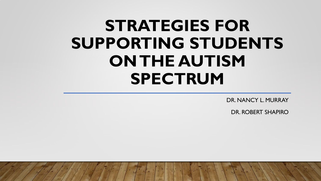# **STRATEGIES FOR SUPPORTING STUDENTS ON THE AUTISM SPECTRUM**

DR. NANCY L. MURRAY

DR. ROBERT SHAPIRO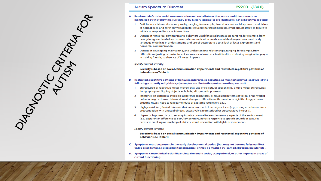

### **Autism Spectrum Disorder**

### A. Persistent deficits in social communication and social interaction across multiple contexts, as manifested by the following, currently or by history (examples are illustrative, not exhaustive; see text):

- 1. Deficits in social-emotional reciprocity, ranging, for example, from abnormal social approach and failure of normal back-and-forth conversation; to reduced sharing of interests, emotions, or affect; to failure to initiate or respond to social interactions.
- 2. Deficits in nonverbal communicative behaviors used for social interaction, ranging, for example, from poorly integrated verbal and nonverbal communication; to abnormalities in eye contact and body language or deficits in understanding and use of gestures; to a total lack of facial expressions and nonverbal communication.
- 3. Deficits in developing, maintaining, and understanding relationships, ranging, for example, from difficulties adjusting behavior to suit various social contexts; to difficulties in sharing imaginative play or in making friends; to absence of interest in peers.

### Specify current severity:

Severity is based on social communication impairments and restricted, repetitive patterns of behavior (see Table 1).

### Restricted, repetitive patterns of behavior, interests, or activities, as manifested by at least two of the В. following, currently or by history (examples are illustrative, not exhaustive; see text):

- 1. Stereotyped or repetitive motor movements, use of objects, or speech (e.g., simple motor stereotypes, lining up toys or flipping objects, echolalia, idiosyncratic phrases).
- 2. Insistence on sameness, inflexible adherence to routines, or ritualized patterns of verbal or nonverbal behavior (e.g., extreme distress at small changes, difficulties with transitions, rigid thinking patterns, greeting rituals, need to take same route or eat same food every day).
- 3. Highly restricted, fixated interests that are abnormal in intensity or focus (e.g., strong attachment to or preoccupation with unusual objects, excessively circumscribed or perseverative interests).
- 4. Hyper- or hyporeactivity to sensory input or unusual interest in sensory aspects of the environment (e.g., apparent indifference to pain/temperature, adverse response to specific sounds or textures, excessive smelling or touching of objects, visual fascination with lights or movement).

Specify current severity:

Severity is based on social communication impairments and restricted, repetitive patterns of behavior (see Table 1).

- C. Symptoms must be present in the early developmental period (but may not become fully manifest until social demands exceed limited capacities, or may be masked by learned strategies in later life).
- D. Symptoms cause clinically significant impairment in social, occupational, or other important areas of current functioning.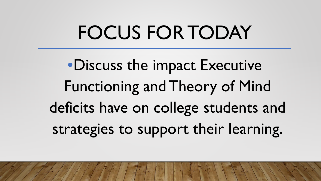# FOCUS FOR TODAY

•Discuss the impact Executive Functioning and Theory of Mind deficits have on college students and strategies to support their learning.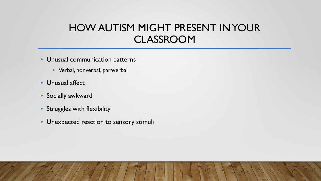### HOW AUTISM MIGHT PRESENT IN YOUR CLASSROOM

- Unusual communication patterns
	- Verbal, nonverbal, paraverbal
- Unusual affect
- Socially awkward
- Struggles with flexibility
- Unexpected reaction to sensory stimuli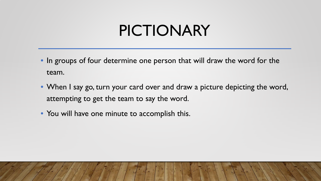# PICTIONARY

- In groups of four determine one person that will draw the word for the team.
- When I say go, turn your card over and draw a picture depicting the word, attempting to get the team to say the word.
- You will have one minute to accomplish this.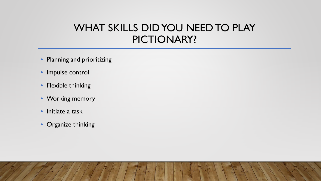### WHAT SKILLS DID YOU NEED TO PLAY PICTIONARY?

- Planning and prioritizing
- Impulse control
- Flexible thinking
- Working memory
- Initiate a task
- Organize thinking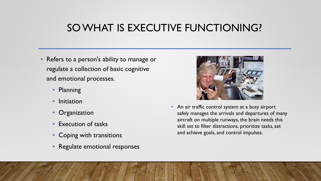### SO WHAT IS EXECUTIVE FUNCTIONING?

- Refers to a person's ability to manage or regulate a collection of basic cognitive and emotional processes.
	- Planning
	- Initiation
	- Organization
	- Execution of tasks
	- Coping with transitions
	- Regulate emotional responses



• An air traffic control system at a busy airport safely manages the arrivals and departures of many aircraft on multiple runways, the brain needs this skill set to filter distractions, prioritize tasks, set and achieve goals, and control impulses.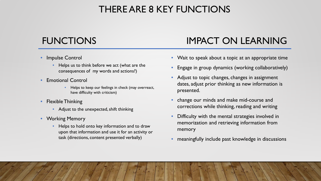### THERE ARE 8 KEY FUNCTIONS

### • Impulse Control

- Helps us to think before we act (what are the consequences of my words and actions?)
- Emotional Control
	- Helps to keep our feelings in check (may overreact, have difficulty with criticism)
- Flexible Thinking
	- Adjust to the unexpected, shift thinking
- Working Memory
	- Helps to hold onto key information and to draw upon that information and use it for an activity or task (directions, content presented verbally)

### FUNCTIONS IMPACT ON LEARNING

- Wait to speak about a topic at an appropriate time
- Engage in group dynamics (working collaboratively)
- Adjust to topic changes, changes in assignment dates, adjust prior thinking as new information is presented.
- change our minds and make mid-course and corrections while thinking, reading and writing
- Difficulty with the mental strategies involved in memorization and retrieving information from memory
- meaningfully include past knowledge in discussions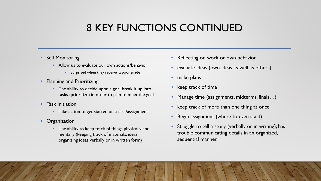### 8 KEY FUNCTIONS CONTINUED

### • Self Monitoring

- Allow us to evaluate our own actions/behavior
	- Surprised when they receive a poor grade
- Planning and Prioritizing
	- The ability to decide upon a goal break it up into tasks (prioritize) in order to plan to meet the goal
- Task Initiation
	- Take action to get started on a task/assignment
- Organization
	- The ability to keep track of things physically and mentally (keeping track of materials, ideas, organizing ideas verbally or in written form)
- Reflecting on work or own behavior
- evaluate ideas (own ideas as well as others)
- make plans
- keep track of time
- Manage time (assignments, midterms, finals…)
- keep track of more than one thing at once
- Begin assignment (where to even start)
- Struggle to tell a story (verbally or in writing); has trouble communicating details in an organized, sequential manner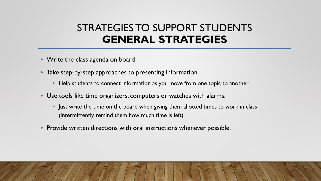### STRATEGIES TO SUPPORT STUDENTS **GENERAL STRATEGIES**

- Write the class agenda on board
- Take step-by-step approaches to presenting information
	- Help students to connect information as you move from one topic to another
- Use tools like time organizers, computers or watches with alarms.
	- Just write the time on the board when giving them allotted times to work in class (intermittently remind them how much time is left)
- Provide written directions with oral instructions whenever possible.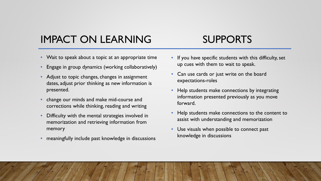## IMPACT ON LEARNING SUPPORTS

### • Wait to speak about a topic at an appropriate time

- Engage in group dynamics (working collaboratively)
- Adjust to topic changes, changes in assignment dates, adjust prior thinking as new information is presented.
- change our minds and make mid-course and corrections while thinking, reading and writing
- Difficulty with the mental strategies involved in memorization and retrieving information from memory
- meaningfully include past knowledge in discussions
- If you have specific students with this difficulty, set up cues with them to wait to speak.
- Can use cards or just write on the board expectations-roles
- Help students make connections by integrating information presented previously as you move forward.
- Help students make connections to the content to assist with understanding and memorization
- Use visuals when possible to connect past knowledge in discussions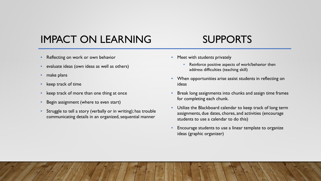### IMPACT ON LEARNING SUPPORTS

- Reflecting on work or own behavior
- evaluate ideas (own ideas as well as others)
- make plans
- keep track of time
- keep track of more than one thing at once
- Begin assignment (where to even start)
- Struggle to tell a story (verbally or in writing); has trouble communicating details in an organized, sequential manner

- Meet with students privately
	- Reinforce positive aspects of work/behavior then address difficulties (teaching skill)
- When opportunities arise assist students in reflecting on ideas
- Break long assignments into chunks and assign time frames for completing each chunk.
- Utilize the Blackboard calendar to keep track of long term assignments, due dates, chores, and activities (encourage students to use a calendar to do this)
- Encourage students to use a linear template to organize ideas (graphic organizer)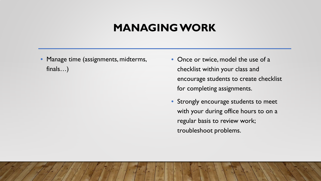### **MANAGING WORK**

• Manage time (assignments, midterms, finals…)

- Once or twice, model the use of a checklist within your class and encourage students to create checklist for completing assignments.
- Strongly encourage students to meet with your during office hours to on a regular basis to review work; troubleshoot problems.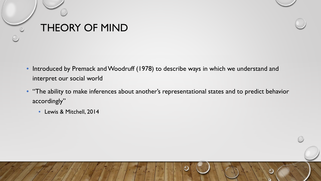



- "The ability to make inferences about another's representational states and to predict behavior accordingly"
	- Lewis & Mitchell, 2014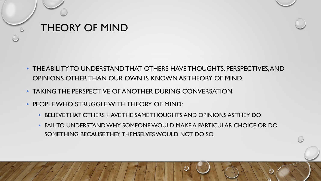

- THE ABILITY TO UNDERSTAND THAT OTHERS HAVE THOUGHTS, PERSPECTIVES, AND OPINIONS OTHER THAN OUR OWN IS KNOWN AS THEORY OF MIND.
- TAKING THE PERSPECTIVE OF ANOTHER DURING CONVERSATION
- PEOPLE WHO STRUGGLE WITH THEORY OF MIND:
	- BELIEVE THAT OTHERS HAVE THE SAME THOUGHTS AND OPINIONS AS THEY DO
	- FAIL TO UNDERSTAND WHY SOMEONE WOULD MAKE A PARTICULAR CHOICE OR DO SOMETHING BECAUSE THEY THEMSELVES WOULD NOT DO SO.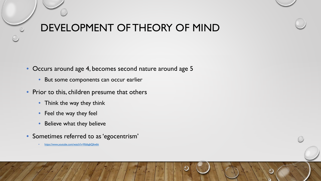## DEVELOPMENT OF THEORY OF MIND

• Occurs around age 4, becomes second nature around age 5

- But some components can occur earlier
- Prior to this, children presume that others
	- Think the way they think
	- Feel the way they feel
	- Believe what they believe
- Sometimes referred to as 'egocentrism'
	- <https://www.youtube.com/watch?v=RibbgbQ6wbk>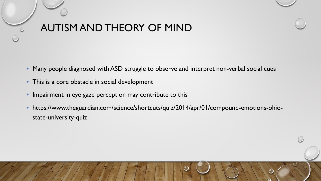## AUTISM AND THEORY OF MIND

- Many people diagnosed with ASD struggle to observe and interpret non-verbal social cues
- This is a core obstacle in social development
- Impairment in eye gaze perception may contribute to this
- https://www.theguardian.com/science/shortcuts/quiz/2014/apr/01/compound-emotions-ohiostate-university-quiz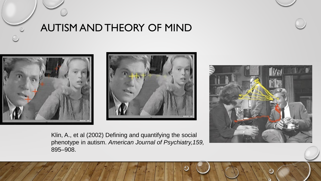

### AUTISM AND THEORY OF MIND







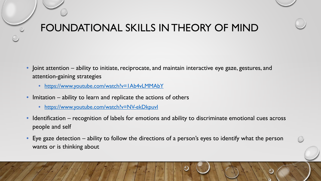- Joint attention ability to initiate, reciprocate, and maintain interactive eye gaze, gestures, and attention-gaining strategies
	- <https://www.youtube.com/watch?v=1Ab4vLMMAbY>
- Imitation ability to learn and replicate the actions of others
	- <https://www.youtube.com/watch?v=NV-ekDkpuvI>
- Identification recognition of labels for emotions and ability to discriminate emotional cues across people and self
- Eye gaze detection ability to follow the directions of a person's eyes to identify what the person wants or is thinking about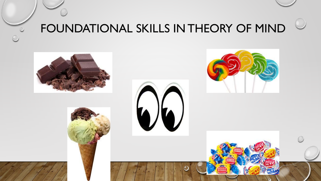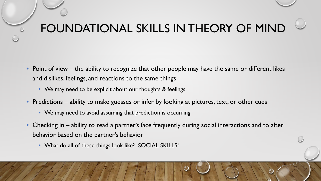- Point of view the ability to recognize that other people may have the same or different likes and dislikes, feelings, and reactions to the same things
	- We may need to be explicit about our thoughts & feelings
- Predictions ability to make guesses or infer by looking at pictures, text, or other cues
	- We may need to avoid assuming that prediction is occurring
- Checking in ability to read a partner's face frequently during social interactions and to alter behavior based on the partner's behavior
	- What do all of these things look like? SOCIAL SKILLS!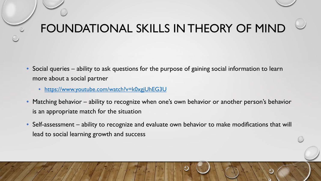- Social queries ability to ask questions for the purpose of gaining social information to learn more about a social partner
	- <https://www.youtube.com/watch?v=k0xgjUhEG3U>
- Matching behavior ability to recognize when one's own behavior or another person's behavior is an appropriate match for the situation
- Self-assessment ability to recognize and evaluate own behavior to make modifications that will lead to social learning growth and success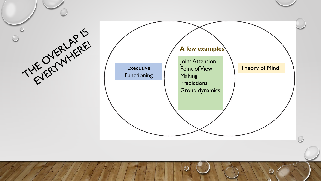